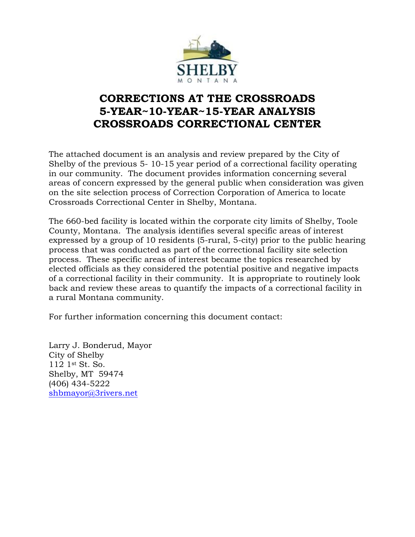

### **CORRECTIONS AT THE CROSSROADS 5-YEAR~10-YEAR~15-YEAR ANALYSIS CROSSROADS CORRECTIONAL CENTER**

The attached document is an analysis and review prepared by the City of Shelby of the previous 5- 10-15 year period of a correctional facility operating in our community. The document provides information concerning several areas of concern expressed by the general public when consideration was given on the site selection process of Correction Corporation of America to locate Crossroads Correctional Center in Shelby, Montana.

The 660-bed facility is located within the corporate city limits of Shelby, Toole County, Montana. The analysis identifies several specific areas of interest expressed by a group of 10 residents (5-rural, 5-city) prior to the public hearing process that was conducted as part of the correctional facility site selection process. These specific areas of interest became the topics researched by elected officials as they considered the potential positive and negative impacts of a correctional facility in their community. It is appropriate to routinely look back and review these areas to quantify the impacts of a correctional facility in a rural Montana community.

For further information concerning this document contact:

Larry J. Bonderud, Mayor City of Shelby 112 1st St. So. Shelby, MT 59474 (406) 434-5222 [shbmayor@3rivers.net](mailto:shbmayor@3rivers.net)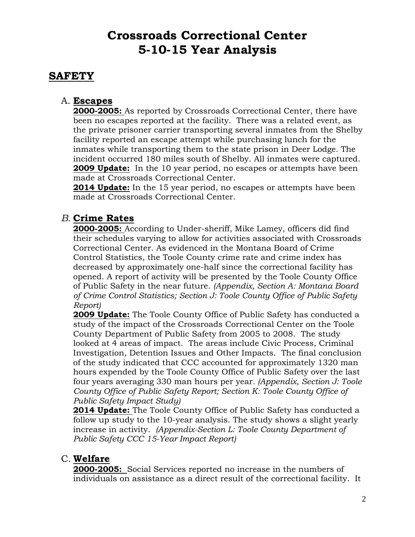# **Crossroads Correctional Center 5-10-15 Year Analysis**

### **SAFETY**

### A. **Escapes**

**2000-2005:** As reported by Crossroads Correctional Center, there have been no escapes reported at the facility. There was a related event, as the private prisoner carrier transporting several inmates from the Shelby facility reported an escape attempt while purchasing lunch for the inmates while transporting them to the state prison in Deer Lodge. The incident occurred 180 miles south of Shelby. All inmates were captured. **2009 Update:** In the 10 year period, no escapes or attempts have been made at Crossroads Correctional Center.

**2014 Update:** In the 15 year period, no escapes or attempts have been made at Crossroads Correctional Center.

### *B.* **Crime Rates**

**2000-2005:** According to Under-sheriff, Mike Lamey, officers did find their schedules varying to allow for activities associated with Crossroads Correctional Center. As evidenced in the Montana Board of Crime Control Statistics, the Toole County crime rate and crime index has decreased by approximately one-half since the correctional facility has opened. A report of activity will be presented by the Toole County Office of Public Safety in the near future. *(Appendix, Section A: Montana Board of Crime Control Statistics; Section J: Toole County Office of Public Safety Report)*

**2009 Update:** The Toole County Office of Public Safety has conducted a study of the impact of the Crossroads Correctional Center on the Toole County Department of Public Safety from 2005 to 2008. The study looked at 4 areas of impact. The areas include Civic Process, Criminal Investigation, Detention Issues and Other Impacts. The final conclusion of the study indicated that CCC accounted for approximately 1320 man hours expended by the Toole County Office of Public Safety over the last four years averaging 330 man hours per year*. (Appendix, Section J: Toole County Office of Public Safety Report; Section K: Toole County Office of Public Safety Impact Study)*

**2014 Update:** The Toole County Office of Public Safety has conducted a follow up study to the 10-year analysis. The study shows a slight yearly increase in activity. *(Appendix-Section L: Toole County Department of Public Safety CCC 15-Year Impact Report)*

### C. **Welfare**

**2000-2005:** Social Services reported no increase in the numbers of individuals on assistance as a direct result of the correctional facility. It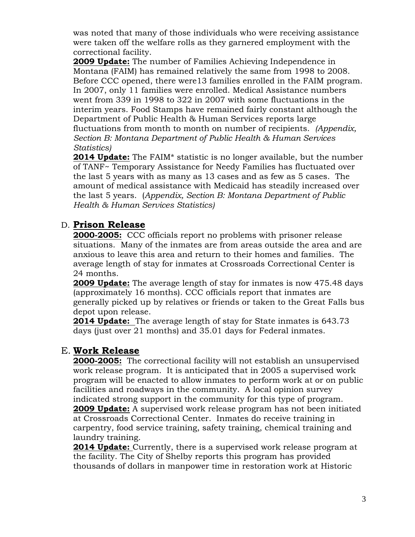was noted that many of those individuals who were receiving assistance were taken off the welfare rolls as they garnered employment with the correctional facility.

**2009 Update:** The number of Families Achieving Independence in Montana (FAIM) has remained relatively the same from 1998 to 2008. Before CCC opened, there were13 families enrolled in the FAIM program. In 2007, only 11 families were enrolled. Medical Assistance numbers went from 339 in 1998 to 322 in 2007 with some fluctuations in the interim years. Food Stamps have remained fairly constant although the Department of Public Health & Human Services reports large fluctuations from month to month on number of recipients. *(Appendix, Section B: Montana Department of Public Health & Human Services Statistics)*

**2014 Update:** The FAIM\* statistic is no longer available, but the number of TANF~ Temporary Assistance for Needy Families has fluctuated over the last 5 years with as many as 13 cases and as few as 5 cases. The amount of medical assistance with Medicaid has steadily increased over the last 5 years. (*Appendix, Section B: Montana Department of Public Health & Human Services Statistics)*

### D. **Prison Release**

**2000-2005:** CCC officials report no problems with prisoner release situations. Many of the inmates are from areas outside the area and are anxious to leave this area and return to their homes and families. The average length of stay for inmates at Crossroads Correctional Center is 24 months.

**2009 Update:** The average length of stay for inmates is now 475.48 days (approximately 16 months). CCC officials report that inmates are generally picked up by relatives or friends or taken to the Great Falls bus depot upon release.

**2014 Update:** The average length of stay for State inmates is 643.73 days (just over 21 months) and 35.01 days for Federal inmates.

#### E. **Work Release**

**2000-2005:** The correctional facility will not establish an unsupervised work release program. It is anticipated that in 2005 a supervised work program will be enacted to allow inmates to perform work at or on public facilities and roadways in the community. A local opinion survey indicated strong support in the community for this type of program. **2009 Update:** A supervised work release program has not been initiated at Crossroads Correctional Center. Inmates do receive training in carpentry, food service training, safety training, chemical training and laundry training.

**2014 Update:** Currently, there is a supervised work release program at the facility. The City of Shelby reports this program has provided thousands of dollars in manpower time in restoration work at Historic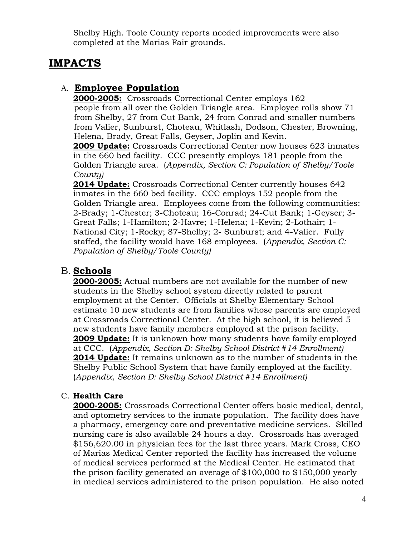Shelby High. Toole County reports needed improvements were also completed at the Marias Fair grounds.

### **IMPACTS**

### A. **Employee Population**

**2000-2005:** Crossroads Correctional Center employs 162 people from all over the Golden Triangle area. Employee rolls show 71 from Shelby, 27 from Cut Bank, 24 from Conrad and smaller numbers from Valier, Sunburst, Choteau, Whitlash, Dodson, Chester, Browning, Helena, Brady, Great Falls, Geyser, Joplin and Kevin.

**2009 Update:** Crossroads Correctional Center now houses 623 inmates in the 660 bed facility. CCC presently employs 181 people from the Golden Triangle area. (*Appendix, Section C: Population of Shelby/Toole County)*

**2014 Update:** Crossroads Correctional Center currently houses 642 inmates in the 660 bed facility. CCC employs 152 people from the Golden Triangle area. Employees come from the following communities: 2-Brady; 1-Chester; 3-Choteau; 16-Conrad; 24-Cut Bank; 1-Geyser; 3- Great Falls; 1-Hamilton; 2-Havre; 1-Helena; 1-Kevin; 2-Lothair; 1- National City; 1-Rocky; 87-Shelby; 2- Sunburst; and 4-Valier. Fully staffed, the facility would have 168 employees. (*Appendix, Section C: Population of Shelby/Toole County)*

### B. **Schools**

**2000-2005:** Actual numbers are not available for the number of new students in the Shelby school system directly related to parent employment at the Center. Officials at Shelby Elementary School estimate 10 new students are from families whose parents are employed at Crossroads Correctional Center. At the high school, it is believed 5 new students have family members employed at the prison facility. **2009 Update:** It is unknown how many students have family employed at CCC. (*Appendix, Section D: Shelby School District #14 Enrollment)* **2014 Update:** It remains unknown as to the number of students in the Shelby Public School System that have family employed at the facility. (*Appendix, Section D: Shelby School District #14 Enrollment)*

#### C. **Health Care**

**2000-2005:** Crossroads Correctional Center offers basic medical, dental, and optometry services to the inmate population. The facility does have a pharmacy, emergency care and preventative medicine services. Skilled nursing care is also available 24 hours a day. Crossroads has averaged \$156,620.00 in physician fees for the last three years. Mark Cross, CEO of Marias Medical Center reported the facility has increased the volume of medical services performed at the Medical Center. He estimated that the prison facility generated an average of \$100,000 to \$150,000 yearly in medical services administered to the prison population. He also noted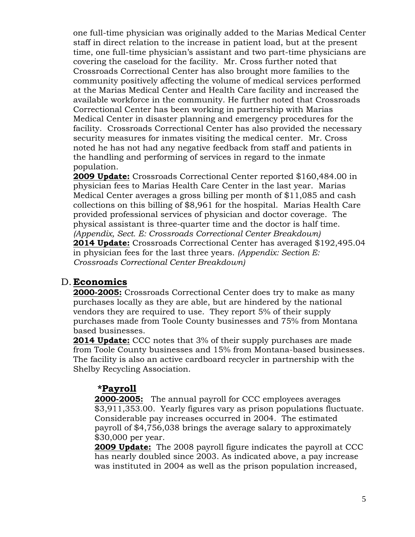one full-time physician was originally added to the Marias Medical Center staff in direct relation to the increase in patient load, but at the present time, one full-time physician's assistant and two part-time physicians are covering the caseload for the facility. Mr. Cross further noted that Crossroads Correctional Center has also brought more families to the community positively affecting the volume of medical services performed at the Marias Medical Center and Health Care facility and increased the available workforce in the community. He further noted that Crossroads Correctional Center has been working in partnership with Marias Medical Center in disaster planning and emergency procedures for the facility. Crossroads Correctional Center has also provided the necessary security measures for inmates visiting the medical center. Mr. Cross noted he has not had any negative feedback from staff and patients in the handling and performing of services in regard to the inmate population.

**2009 Update:** Crossroads Correctional Center reported \$160,484.00 in physician fees to Marias Health Care Center in the last year. Marias Medical Center averages a gross billing per month of \$11,085 and cash collections on this billing of \$8,961 for the hospital. Marias Health Care provided professional services of physician and doctor coverage. The physical assistant is three-quarter time and the doctor is half time. *(Appendix, Sect. E: Crossroads Correctional Center Breakdown)* **2014 Update:** Crossroads Correctional Center has averaged \$192,495.04 in physician fees for the last three years. *(Appendix: Section E: Crossroads Correctional Center Breakdown)*

#### D. **Economics**

**2000-2005:** Crossroads Correctional Center does try to make as many purchases locally as they are able, but are hindered by the national vendors they are required to use. They report 5% of their supply purchases made from Toole County businesses and 75% from Montana based businesses.

**2014 Update:** CCC notes that 3% of their supply purchases are made from Toole County businesses and 15% from Montana-based businesses. The facility is also an active cardboard recycler in partnership with the Shelby Recycling Association.

### **\*Payroll**

**2000-2005:** The annual payroll for CCC employees averages \$3,911,353.00. Yearly figures vary as prison populations fluctuate. Considerable pay increases occurred in 2004. The estimated payroll of \$4,756,038 brings the average salary to approximately \$30,000 per year.

**2009 Update:** The 2008 payroll figure indicates the payroll at CCC has nearly doubled since 2003. As indicated above, a pay increase was instituted in 2004 as well as the prison population increased,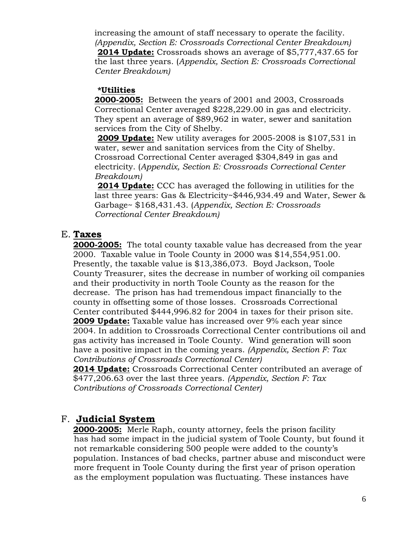increasing the amount of staff necessary to operate the facility. *(Appendix, Section E: Crossroads Correctional Center Breakdown)*  **2014 Update:** Crossroads shows an average of \$5,777,437.65 for the last three years. (*Appendix, Section E: Crossroads Correctional Center Breakdown)*

#### **\*Utilities**

**2000-2005:** Between the years of 2001 and 2003, Crossroads Correctional Center averaged \$228,229.00 in gas and electricity. They spent an average of \$89,962 in water, sewer and sanitation services from the City of Shelby.

**2009 Update:** New utility averages for 2005-2008 is \$107,531 in water, sewer and sanitation services from the City of Shelby. Crossroad Correctional Center averaged \$304,849 in gas and electricity. (*Appendix, Section E: Crossroads Correctional Center Breakdown)*

**2014 Update:** CCC has averaged the following in utilities for the last three years: Gas & Electricity~\$446,934.49 and Water, Sewer & Garbage~ \$168,431.43. (*Appendix, Section E: Crossroads Correctional Center Breakdown)*

### E. **Taxes**

**2000-2005:** The total county taxable value has decreased from the year 2000. Taxable value in Toole County in 2000 was \$14,554,951.00. Presently, the taxable value is \$13,386,073. Boyd Jackson, Toole County Treasurer, sites the decrease in number of working oil companies and their productivity in north Toole County as the reason for the decrease. The prison has had tremendous impact financially to the county in offsetting some of those losses. Crossroads Correctional Center contributed \$444,996.82 for 2004 in taxes for their prison site. **2009 Update:** Taxable value has increased over 9% each year since 2004. In addition to Crossroads Correctional Center contributions oil and gas activity has increased in Toole County. Wind generation will soon have a positive impact in the coming years. *(Appendix, Section F: Tax Contributions of Crossroads Correctional Center)*

**2014 Update:** Crossroads Correctional Center contributed an average of \$477,206.63 over the last three years. *(Appendix, Section F: Tax Contributions of Crossroads Correctional Center)*

#### F. **Judicial System**

**2000-2005:** Merle Raph, county attorney, feels the prison facility has had some impact in the judicial system of Toole County, but found it not remarkable considering 500 people were added to the county's population. Instances of bad checks, partner abuse and misconduct were more frequent in Toole County during the first year of prison operation as the employment population was fluctuating. These instances have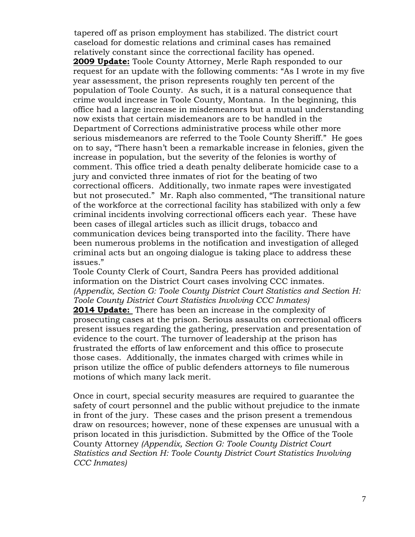tapered off as prison employment has stabilized. The district court caseload for domestic relations and criminal cases has remained relatively constant since the correctional facility has opened. **2009 Update:** Toole County Attorney, Merle Raph responded to our request for an update with the following comments: "As I wrote in my five year assessment, the prison represents roughly ten percent of the population of Toole County. As such, it is a natural consequence that crime would increase in Toole County, Montana. In the beginning, this office had a large increase in misdemeanors but a mutual understanding now exists that certain misdemeanors are to be handled in the Department of Corrections administrative process while other more serious misdemeanors are referred to the Toole County Sheriff." He goes on to say, "There hasn't been a remarkable increase in felonies, given the increase in population, but the severity of the felonies is worthy of comment. This office tried a death penalty deliberate homicide case to a jury and convicted three inmates of riot for the beating of two correctional officers. Additionally, two inmate rapes were investigated but not prosecuted." Mr. Raph also commented, "The transitional nature of the workforce at the correctional facility has stabilized with only a few criminal incidents involving correctional officers each year. These have been cases of illegal articles such as illicit drugs, tobacco and communication devices being transported into the facility. There have been numerous problems in the notification and investigation of alleged criminal acts but an ongoing dialogue is taking place to address these issues."

Toole County Clerk of Court, Sandra Peers has provided additional information on the District Court cases involving CCC inmates. *(Appendix, Section G: Toole County District Court Statistics and Section H: Toole County District Court Statistics Involving CCC Inmates)*

**2014 Update:** There has been an increase in the complexity of prosecuting cases at the prison. Serious assaults on correctional officers present issues regarding the gathering, preservation and presentation of evidence to the court. The turnover of leadership at the prison has frustrated the efforts of law enforcement and this office to prosecute those cases. Additionally, the inmates charged with crimes while in prison utilize the office of public defenders attorneys to file numerous motions of which many lack merit.

Once in court, special security measures are required to guarantee the safety of court personnel and the public without prejudice to the inmate in front of the jury. These cases and the prison present a tremendous draw on resources; however, none of these expenses are unusual with a prison located in this jurisdiction. Submitted by the Office of the Toole County Attorney *(Appendix, Section G: Toole County District Court Statistics and Section H: Toole County District Court Statistics Involving CCC Inmates)*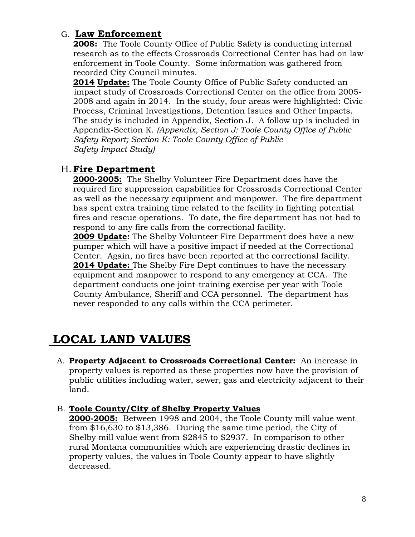### G. **Law Enforcement**

**2008:** The Toole County Office of Public Safety is conducting internal research as to the effects Crossroads Correctional Center has had on law enforcement in Toole County. Some information was gathered from recorded City Council minutes.

**2014 Update:** The Toole County Office of Public Safety conducted an impact study of Crossroads Correctional Center on the office from 2005- 2008 and again in 2014. In the study, four areas were highlighted: Civic Process, Criminal Investigations, Detention Issues and Other Impacts. The study is included in Appendix, Section J. A follow up is included in Appendix-Section K. *(Appendix, Section J: Toole County Office of Public Safety Report; Section K: Toole County Office of Public Safety Impact Study)*

### H.**Fire Department**

**2000-2005:** The Shelby Volunteer Fire Department does have the required fire suppression capabilities for Crossroads Correctional Center as well as the necessary equipment and manpower. The fire department has spent extra training time related to the facility in fighting potential fires and rescue operations. To date, the fire department has not had to respond to any fire calls from the correctional facility.

**2009 Update:** The Shelby Volunteer Fire Department does have a new pumper which will have a positive impact if needed at the Correctional Center. Again, no fires have been reported at the correctional facility. **2014 Update:** The Shelby Fire Dept continues to have the necessary equipment and manpower to respond to any emergency at CCA. The department conducts one joint-training exercise per year with Toole County Ambulance, Sheriff and CCA personnel. The department has never responded to any calls within the CCA perimeter.

# **LOCAL LAND VALUES**

A. **Property Adjacent to Crossroads Correctional Center:** An increase in property values is reported as these properties now have the provision of public utilities including water, sewer, gas and electricity adjacent to their land.

#### B. **Toole County/City of Shelby Property Values**

**2000-2005:** Between 1998 and 2004, the Toole County mill value went from \$16,630 to \$13,386. During the same time period, the City of Shelby mill value went from \$2845 to \$2937. In comparison to other rural Montana communities which are experiencing drastic declines in property values, the values in Toole County appear to have slightly decreased.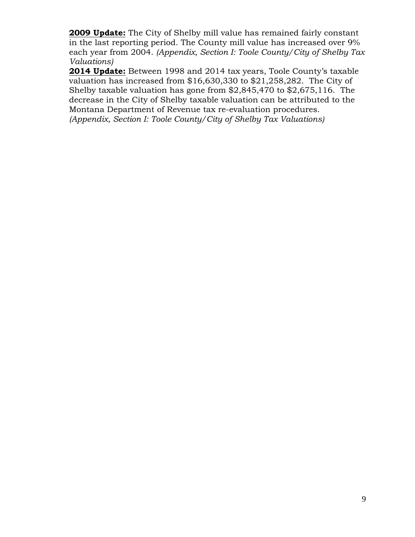**2009 Update:** The City of Shelby mill value has remained fairly constant in the last reporting period. The County mill value has increased over 9% each year from 2004. *(Appendix, Section I: Toole County/City of Shelby Tax Valuations)* 

**2014 Update:** Between 1998 and 2014 tax years, Toole County's taxable valuation has increased from \$16,630,330 to \$21,258,282. The City of Shelby taxable valuation has gone from \$2,845,470 to \$2,675,116. The decrease in the City of Shelby taxable valuation can be attributed to the Montana Department of Revenue tax re-evaluation procedures. *(Appendix, Section I: Toole County/City of Shelby Tax Valuations)*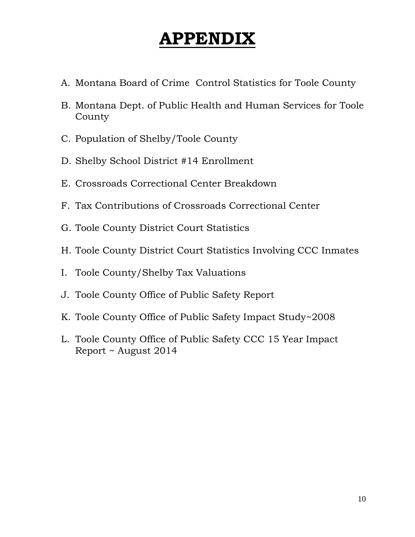# **APPENDIX**

- A. Montana Board of Crime Control Statistics for Toole County
- B. Montana Dept. of Public Health and Human Services for Toole County
- C. Population of Shelby/Toole County
- D. Shelby School District #14 Enrollment
- E. Crossroads Correctional Center Breakdown
- F. Tax Contributions of Crossroads Correctional Center
- G. Toole County District Court Statistics
- H. Toole County District Court Statistics Involving CCC Inmates
- I. Toole County/Shelby Tax Valuations
- J. Toole County Office of Public Safety Report
- K. Toole County Office of Public Safety Impact Study~2008
- L. Toole County Office of Public Safety CCC 15 Year Impact Report ~ August 2014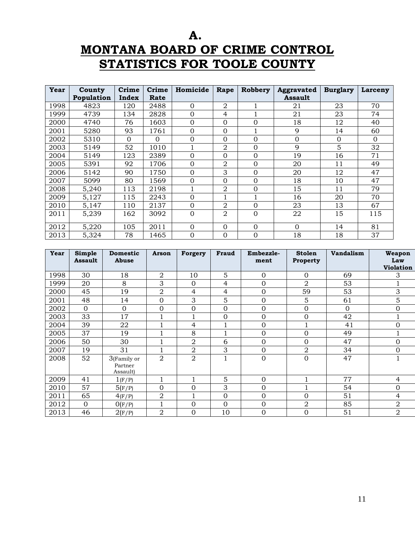**A. MONTANA BOARD OF CRIME CONTROL STATISTICS FOR TOOLE COUNTY**

| Year | County<br>Population | Crime<br>Index | Crime<br>Rate | Homicide       | Rape           | Robbery  | <b>Aggravated</b><br><b>Assault</b> | <b>Burglary</b> | Larceny  |
|------|----------------------|----------------|---------------|----------------|----------------|----------|-------------------------------------|-----------------|----------|
| 1998 | 4823                 | 120            | 2488          | $\Omega$       | 2              |          | 21                                  | 23              | 70       |
| 1999 | 4739                 | 134            | 2828          | $\Omega$       | 4              |          | 21                                  | 23              | 74       |
| 2000 | 4740                 | 76             | 1603          | $\Omega$       | $\Omega$       | 0        | 18                                  | 12              | 40       |
| 2001 | 5280                 | 93             | 1761          | $\overline{0}$ | $\Omega$       |          | 9                                   | 14              | 60       |
| 2002 | 5310                 | $\Omega$       | $\Omega$      | $\Omega$       | $\Omega$       | 0        | $\mathbf{0}$                        | $\Omega$        | $\Omega$ |
| 2003 | 5149                 | 52             | 1010          |                | $\overline{2}$ | 0        | 9                                   | 5               | 32       |
| 2004 | 5149                 | 123            | 2389          | $\Omega$       | $\Omega$       | $\Omega$ | 19                                  | 16              | 71       |
| 2005 | 5391                 | 92             | 1706          | $\Omega$       | $\overline{2}$ | 0        | 20                                  | 11              | 49       |
| 2006 | 5142                 | 90             | 1750          | $\Omega$       | 3              | 0        | 20                                  | 12              | 47       |
| 2007 | 5099                 | 80             | 1569          | $\Omega$       | $\Omega$       | 0        | 18                                  | 10              | 47       |
| 2008 | 5,240                | 113            | 2198          | 1              | $\overline{2}$ | 0        | 15                                  | 11              | 79       |
| 2009 | 5,127                | 115            | 2243          | $\Omega$       | 1              |          | 16                                  | 20              | 70       |
| 2010 | 5,147                | 110            | 2137          | $\Omega$       | $\overline{2}$ | 0        | 23                                  | 13              | 67       |
| 2011 | 5,239                | 162            | 3092          | $\overline{0}$ | 2              | $\Omega$ | 22                                  | 15              | 115      |
| 2012 | 5,220                | 105            | 2011          | $\Omega$       | $\Omega$       | 0        | $\Omega$                            | 14              | 81       |
| 2013 | 5,324                | 78             | 1465          | $\Omega$       | $\overline{0}$ | 0        | 18                                  | 18              | 37       |

| Year | Simple<br><b>Assault</b> | <b>Domestic</b><br>Abuse           | Arson          | Forgery        | <b>Fraud</b>   | Embezzle-<br>ment | <b>Stolen</b><br>Property | <b>Vandalism</b> | Weapon<br>Law    |
|------|--------------------------|------------------------------------|----------------|----------------|----------------|-------------------|---------------------------|------------------|------------------|
|      |                          |                                    |                |                |                |                   |                           |                  | <b>Violation</b> |
| 1998 | 30                       | 18                                 | 2              | 10             | 5              | $\mathbf 0$       | $\Omega$                  | 69               | 3                |
| 1999 | 20                       | 8                                  | 3              | $\mathbf{0}$   | $\overline{4}$ | $\mathbf 0$       | $\overline{2}$            | 53               |                  |
| 2000 | 45                       | 19                                 | $\overline{2}$ | 4              | 4              | $\boldsymbol{0}$  | 59                        | 53               | 3                |
| 2001 | 48                       | 14                                 | $\Omega$       | 3              | 5              | 0                 | 5.                        | 61               | 5                |
| 2002 | $\Omega$                 | $\mathbf{0}$                       | $\Omega$       | $\mathbf{0}$   | $\mathbf 0$    | 0                 | $\Omega$                  | $\Omega$         | $\Omega$         |
| 2003 | 33                       | 17                                 | 1              |                | $\overline{0}$ | $\overline{0}$    | $\Omega$                  | 42               |                  |
| 2004 | 39                       | 22                                 |                | 4              | 1              | $\overline{0}$    |                           | 41               | 0                |
| 2005 | 37                       | 19                                 |                | 8              | 1              | $\overline{0}$    | $\Omega$                  | 49               |                  |
| 2006 | 50                       | 30                                 |                | $\overline{2}$ | 6              | $\mathbf 0$       | $\Omega$                  | 47               | $\mathbf 0$      |
| 2007 | 19                       | 31                                 | 1              | 2              | 3              | $\overline{0}$    | 2                         | 34               | $\Omega$         |
| 2008 | 52                       | 3(Family or<br>Partner<br>Assault) | $\overline{2}$ | $\overline{2}$ | 1              | $\mathbf 0$       | $\Omega$                  | 47               |                  |
| 2009 | 41                       | 1(F/P)                             |                |                | 5              | $\mathbf 0$       |                           | 77               | 4                |
| 2010 | 57                       | 5(F/P)                             | $\Omega$       | 0              | 3              | 0                 |                           | 54               | 0                |
| 2011 | 65                       | 4(F/P)                             | $\overline{2}$ |                | $\mathbf 0$    | $\mathbf 0$       | $\Omega$                  | 51               | 4                |
| 2012 | $\mathbf 0$              | O(F/P)                             |                | $\mathbf 0$    | $\mathbf 0$    | $\mathbf 0$       | $\overline{2}$            | 85               | $\overline{2}$   |
| 2013 | 46                       | 2(F/P)                             | $\overline{2}$ | 0              | 10             | $\mathbf 0$       | $\Omega$                  | 51               | $\overline{2}$   |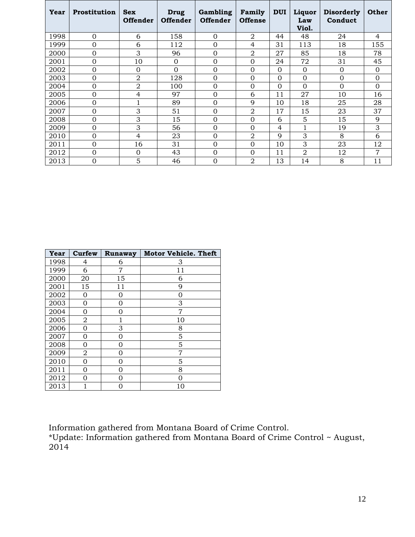| Year | <b>Prostitution</b> | <b>Sex</b><br><b>Offender</b> | <b>Drug</b><br><b>Offender</b> | Gambling<br><b>Offender</b> | Family<br><b>Offense</b> | <b>DUI</b>     | Liquor<br>Law<br>Viol. | <b>Disorderly</b><br>Conduct | <b>Other</b> |
|------|---------------------|-------------------------------|--------------------------------|-----------------------------|--------------------------|----------------|------------------------|------------------------------|--------------|
| 1998 | $\overline{0}$      | 6                             | 158                            | $\mathbf{0}$                | $\overline{2}$           | 44             | 48                     | 24                           | 4            |
| 1999 | $\overline{0}$      | 6                             | 112                            | $\overline{0}$              | $\overline{4}$           | 31             | 113                    | 18                           | 155          |
| 2000 | $\overline{0}$      | 3                             | 96                             | $\overline{0}$              | $\overline{2}$           | 27             | 85                     | 18                           | 78           |
| 2001 | $\mathbf 0$         | 10                            | $\overline{0}$                 | $\mathbf{0}$                | $\overline{0}$           | 24             | 72                     | 31                           | 45           |
| 2002 | 0                   | $\mathbf 0$                   | $\Omega$                       | $\Omega$                    | $\Omega$                 | $\Omega$       | $\Omega$               | $\mathbf{0}$                 | $\Omega$     |
| 2003 | 0                   | 2                             | 128                            | $\Omega$                    | $\Omega$                 | $\Omega$       | 0                      | $\mathbf{0}$                 | 0            |
| 2004 | 0                   | $\overline{a}$                | 100                            | $\Omega$                    | $\Omega$                 | $\Omega$       | $\Omega$               | $\Omega$                     | $\Omega$     |
| 2005 | 0                   | 4                             | 97                             | $\Omega$                    | 6                        | 11             | 27                     | 10                           | 16           |
| 2006 | 0                   |                               | 89                             | $\Omega$                    | 9                        | 10             | 18                     | 25                           | 28           |
| 2007 | $\overline{0}$      | 3                             | 51                             | $\overline{0}$              | $\overline{2}$           | 17             | 15                     | 23                           | 37           |
| 2008 | 0                   | 3                             | 15                             | $\mathbf{0}$                | $\overline{0}$           | 6              | 5                      | 15                           | 9            |
| 2009 | 0                   | 3                             | 56                             | $\overline{0}$              | $\Omega$                 | $\overline{4}$ |                        | 19                           | 3            |
| 2010 | $\overline{0}$      | 4                             | 23                             | $\mathbf{0}$                | $\overline{2}$           | 9              | 3                      | 8                            | 6            |
| 2011 | $\mathbf 0$         | 16                            | 31                             | $\mathbf{0}$                | $\Omega$                 | 10             | 3                      | 23                           | 12           |
| 2012 | $\overline{0}$      | 0                             | 43                             | $\overline{0}$              | $\Omega$                 | 11             | $\overline{2}$         | 12                           | 7            |
| 2013 | 0                   | 5                             | 46                             | $\mathbf 0$                 | $\overline{2}$           | 13             | 14                     | 8                            | 11           |

| Year | Curfew | Runaway | <b>Motor Vehicle. Theft</b> |
|------|--------|---------|-----------------------------|
| 1998 | 4      | 6       | З                           |
| 1999 | 6      | 7       | 11                          |
| 2000 | 20     | 15      | 6                           |
| 2001 | 15     | 11      | 9                           |
| 2002 | 0      | 0       | 0                           |
| 2003 | 0      | 0       | 3                           |
| 2004 | 0      | Ω       | 7                           |
| 2005 | 2      | 1       | 10                          |
| 2006 | 0      | 3       | 8                           |
| 2007 | 0      | 0       | 5                           |
| 2008 | 0      | 0       | 5                           |
| 2009 | 2      | 0       | 7                           |
| 2010 | 0      | 0       | 5                           |
| 2011 | 0      | 0       | 8                           |
| 2012 | Ω      | Ω       | Ω                           |
| 2013 |        | O       | 10                          |

Information gathered from Montana Board of Crime Control.

\*Update: Information gathered from Montana Board of Crime Control ~ August,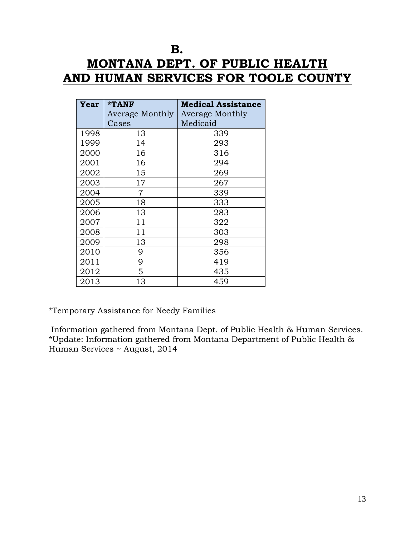# **B. MONTANA DEPT. OF PUBLIC HEALTH AND HUMAN SERVICES FOR TOOLE COUNTY**

| Year | *TANF                  | <b>Medical Assistance</b> |
|------|------------------------|---------------------------|
|      | <b>Average Monthly</b> | Average Monthly           |
|      | Cases                  | Medicaid                  |
| 1998 | 13                     | 339                       |
| 1999 | 14                     | 293                       |
| 2000 | 16                     | 316                       |
| 2001 | 16                     | 294                       |
| 2002 | 15                     | 269                       |
| 2003 | 17                     | 267                       |
| 2004 | 7                      | 339                       |
| 2005 | 18                     | 333                       |
| 2006 | 13                     | 283                       |
| 2007 | 11                     | 322                       |
| 2008 | 11                     | 303                       |
| 2009 | 13                     | 298                       |
| 2010 | 9                      | 356                       |
| 2011 | 9                      | 419                       |
| 2012 | 5                      | 435                       |
| 2013 | 13                     | 459                       |

\*Temporary Assistance for Needy Families

Information gathered from Montana Dept. of Public Health & Human Services. \*Update: Information gathered from Montana Department of Public Health & Human Services ~ August, 2014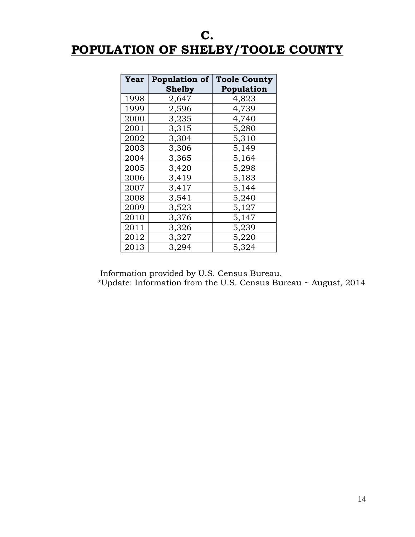# **C. POPULATION OF SHELBY/TOOLE COUNTY**

| Year | <b>Population of</b> | <b>Toole County</b> |  |  |
|------|----------------------|---------------------|--|--|
|      | Shelby               | Population          |  |  |
| 1998 | 2,647                | 4,823               |  |  |
| 1999 | 2,596                | 4,739               |  |  |
| 2000 | 3,235                | 4,740               |  |  |
| 2001 | 3,315                | 5,280               |  |  |
| 2002 | 3,304                | 5,310               |  |  |
| 2003 | 3,306                | 5,149               |  |  |
| 2004 | 3,365                | 5,164               |  |  |
| 2005 | 3,420                | 5,298               |  |  |
| 2006 | 3,419                | 5,183               |  |  |
| 2007 | 3,417                | 5,144               |  |  |
| 2008 | 3,541                | 5,240               |  |  |
| 2009 | 3,523                | 5,127               |  |  |
| 2010 | 3,376                | 5,147               |  |  |
| 2011 | 3,326                | 5,239               |  |  |
| 2012 | 3,327                | 5,220               |  |  |
| 2013 | 3,294                | 5,324               |  |  |

Information provided by U.S. Census Bureau.

\*Update: Information from the U.S. Census Bureau ~ August, 2014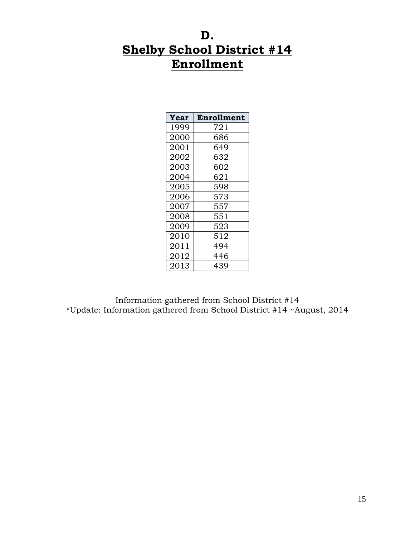# **D. Shelby School District #14 Enrollment**

| Year | Enrollment |
|------|------------|
| 1999 | 721        |
| 2000 | 686        |
| 2001 | 649        |
| 2002 | 632        |
| 2003 | 602        |
| 2004 | 621        |
| 2005 | 598        |
| 2006 | 573        |
| 2007 | 557        |
| 2008 | 551        |
| 2009 | 523        |
| 2010 | 512        |
| 2011 | 494        |
| 2012 | 446        |
| 2013 | 439        |

Information gathered from School District #14 \*Update: Information gathered from School District #14 ~August, 2014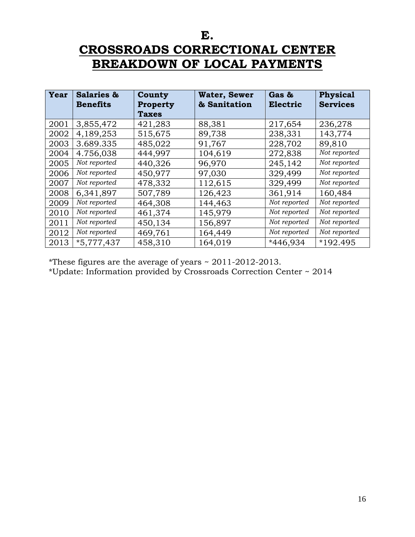**E.**

# **CROSSROADS CORRECTIONAL CENTER BREAKDOWN OF LOCAL PAYMENTS**

| Year | Salaries &<br><b>Benefits</b> | County<br><b>Property</b> | <b>Water, Sewer</b><br>& Sanitation | Gas &<br>Electric | <b>Physical</b><br><b>Services</b> |
|------|-------------------------------|---------------------------|-------------------------------------|-------------------|------------------------------------|
|      |                               | <b>Taxes</b>              |                                     |                   |                                    |
| 2001 | 3,855,472                     | 421,283                   | 88,381                              | 217,654           | 236,278                            |
| 2002 | 4,189,253                     | 515,675                   | 89,738                              | 238,331           | 143,774                            |
| 2003 | 3.689.335                     | 485,022                   | 91,767                              | 228,702           | 89,810                             |
| 2004 | 4.756,038                     | 444,997                   | 104,619                             | 272,838           | Not reported                       |
| 2005 | Not reported                  | 440,326                   | 96,970                              | 245,142           | Not reported                       |
| 2006 | Not reported                  | 450,977                   | 97,030                              | 329,499           | Not reported                       |
| 2007 | Not reported                  | 478,332                   | 112,615                             | 329,499           | Not reported                       |
| 2008 | 6,341,897                     | 507,789                   | 126,423                             | 361,914           | 160,484                            |
| 2009 | Not reported                  | 464,308                   | 144,463                             | Not reported      | Not reported                       |
| 2010 | Not reported                  | 461,374                   | 145,979                             | Not reported      | Not reported                       |
| 2011 | Not reported                  | 450,134                   | 156,897                             | Not reported      | Not reported                       |
| 2012 | Not reported                  | 469,761                   | 164,449                             | Not reported      | Not reported                       |
| 2013 | $*5,777,437$                  | 458,310                   | 164,019                             | *446,934          | *192.495                           |

\*These figures are the average of years ~ 2011-2012-2013.

\*Update: Information provided by Crossroads Correction Center ~ 2014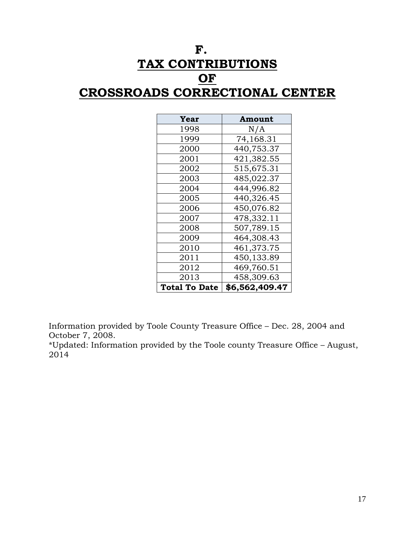# **F. TAX CONTRIBUTIONS OF CROSSROADS CORRECTIONAL CENTER**

| Year                 | <b>Amount</b>  |
|----------------------|----------------|
| 1998                 | N/A            |
| 1999                 | 74,168.31      |
| 2000                 | 440,753.37     |
| 2001                 | 421,382.55     |
| 2002                 | 515,675.31     |
| 2003                 | 485,022.37     |
| 2004                 | 444,996.82     |
| 2005                 | 440,326.45     |
| 2006                 | 450,076.82     |
| 2007                 | 478,332.11     |
| 2008                 | 507,789.15     |
| 2009                 | 464,308.43     |
| 2010                 | 461,373.75     |
| 2011                 | 450,133.89     |
| 2012                 | 469,760.51     |
| 2013                 | 458,309.63     |
| <b>Total To Date</b> | \$6,562,409.47 |

Information provided by Toole County Treasure Office – Dec. 28, 2004 and October 7, 2008.

\*Updated: Information provided by the Toole county Treasure Office – August,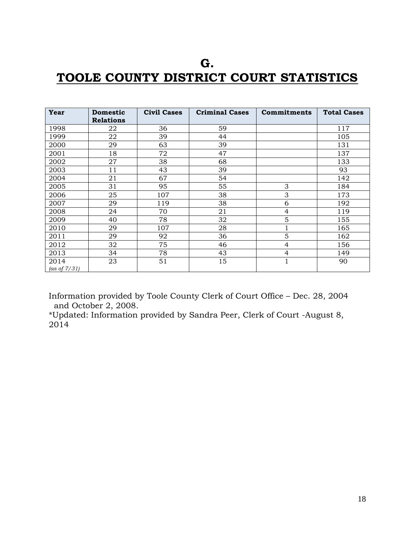# **G. TOOLE COUNTY DISTRICT COURT STATISTICS**

| Year                    | <b>Domestic</b><br><b>Relations</b> | <b>Civil Cases</b> | <b>Criminal Cases</b> | <b>Commitments</b> | <b>Total Cases</b> |
|-------------------------|-------------------------------------|--------------------|-----------------------|--------------------|--------------------|
| 1998                    | 22                                  | 36                 | 59                    |                    | 117                |
| 1999                    | 22                                  | 39                 | 44                    |                    | 105                |
| 2000                    | 29                                  | 63                 | 39                    |                    | 131                |
| 2001                    | 18                                  | 72                 | 47                    |                    | 137                |
| 2002                    | 27                                  | 38                 | 68                    |                    | 133                |
| 2003                    | 11                                  | 43                 | 39                    |                    | 93                 |
| 2004                    | 21                                  | 67                 | 54                    |                    | 142                |
| 2005                    | 31                                  | 95                 | 55                    | 3                  | 184                |
| 2006                    | 25                                  | 107                | 38                    | 3                  | 173                |
| 2007                    | 29                                  | 119                | 38                    | 6                  | 192                |
| 2008                    | 24                                  | 70                 | 21                    | 4                  | 119                |
| 2009                    | 40                                  | 78                 | 32                    | 5                  | 155                |
| 2010                    | 29                                  | 107                | 28                    |                    | 165                |
| 2011                    | 29                                  | 92                 | 36                    | 5                  | 162                |
| 2012                    | 32                                  | 75                 | 46                    | $\overline{4}$     | 156                |
| 2013                    | 34                                  | 78                 | 43                    | $\overline{4}$     | 149                |
| 2014<br>(as of $7/31$ ) | 23                                  | 51                 | 15                    | $\mathbf{1}$       | 90                 |

Information provided by Toole County Clerk of Court Office – Dec. 28, 2004 and October 2, 2008.

\*Updated: Information provided by Sandra Peer, Clerk of Court -August 8,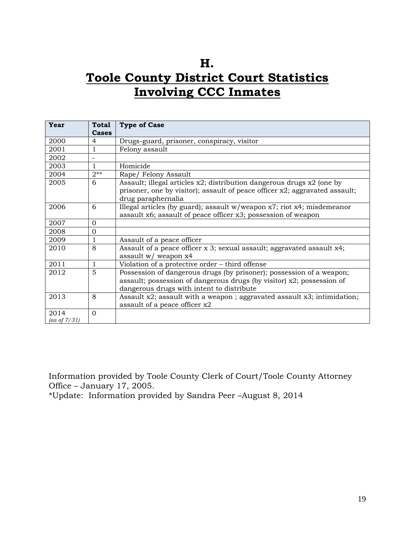# **H. Toole County District Court Statistics Involving CCC Inmates**

| <b>Year</b>     | <b>Total</b> | <b>Type of Case</b>                                                                                                                                     |
|-----------------|--------------|---------------------------------------------------------------------------------------------------------------------------------------------------------|
|                 | Cases        |                                                                                                                                                         |
| 2000            | 4            | Drugs-guard, prisoner, conspiracy, visitor                                                                                                              |
| 2001            | $\mathbf{1}$ | Felony assault                                                                                                                                          |
| 2002            |              |                                                                                                                                                         |
| 2003            | 1            | Homicide                                                                                                                                                |
| 2004            | $2**$        | Rape/Felony Assault                                                                                                                                     |
| 2005            | 6            | Assault; illegal articles x2; distribution dangerous drugs x2 (one by<br>prisoner, one by visitor); assault of peace officer $x2$ ; aggravated assault; |
|                 |              | drug paraphernalia                                                                                                                                      |
| 2006            | 6            | Illegal articles (by guard); assault $w/we$ apon $x7$ ; riot $x4$ ; misdemeanor                                                                         |
|                 |              | assault x6; assault of peace officer x3; possession of weapon                                                                                           |
| 2007            | $\mathbf 0$  |                                                                                                                                                         |
| 2008            | $\mathbf{0}$ |                                                                                                                                                         |
| 2009            | 1            | Assault of a peace officer                                                                                                                              |
| 2010            | 8            | Assault of a peace officer x 3; sexual assault; aggravated assault x4;                                                                                  |
|                 |              | assault w/ weapon x4                                                                                                                                    |
| 2011            | 1            | Violation of a protective order - third offense                                                                                                         |
| 2012            | 5            | Possession of dangerous drugs (by prisoner); possession of a weapon;                                                                                    |
|                 |              | assault; possession of dangerous drugs (by visitor) x2; possession of                                                                                   |
|                 |              | dangerous drugs with intent to distribute                                                                                                               |
| 2013            | 8            | Assault $x2$ ; assault with a weapon; aggravated assault $x3$ ; intimidation;                                                                           |
|                 |              | assault of a peace officer x2                                                                                                                           |
| 2014            | $\Omega$     |                                                                                                                                                         |
| (as of $7/31$ ) |              |                                                                                                                                                         |

Information provided by Toole County Clerk of Court/Toole County Attorney Office – January 17, 2005.

\*Update: Information provided by Sandra Peer –August 8, 2014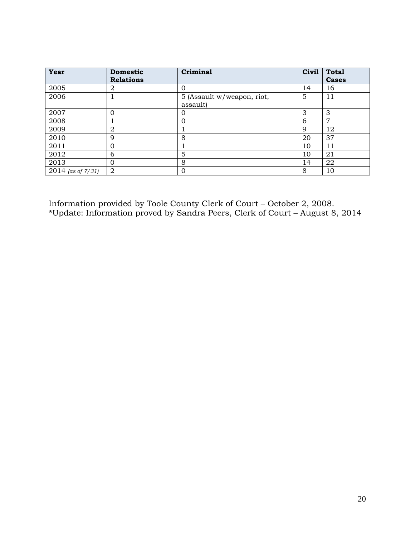| Year                   | <b>Domestic</b>  | Criminal                   | Civil | <b>Total</b> |
|------------------------|------------------|----------------------------|-------|--------------|
|                        | <b>Relations</b> |                            |       | <b>Cases</b> |
| 2005                   | 2                |                            | 14    | 16           |
| 2006                   |                  | 5 (Assault w/weapon, riot, | 5     | 11           |
|                        |                  | assault)                   |       |              |
| 2007                   | 0                | 0                          | 3     | 3            |
| 2008                   |                  | O                          | 6     | 7            |
| 2009                   | 2                |                            | 9     | 12           |
| 2010                   | 9                | 8                          | 20    | 37           |
| 2011                   | 0                |                            | 10    | 11           |
| 2012                   | 6                | 5                          | 10    | 21           |
| 2013                   | Ω                | 8                          | 14    | 22           |
| $2014$ (as of $7/31$ ) | $\overline{2}$   | $\Omega$                   | 8     | 10           |

Information provided by Toole County Clerk of Court – October 2, 2008. \*Update: Information proved by Sandra Peers, Clerk of Court – August 8, 2014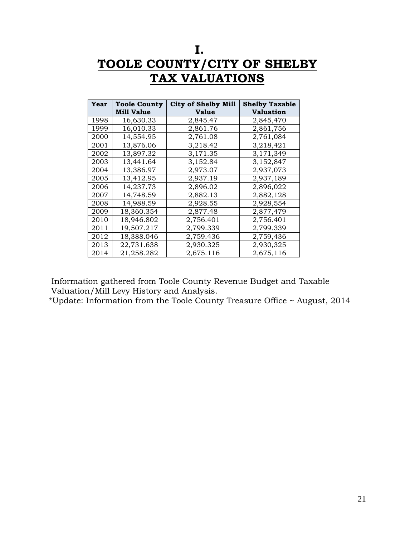# **I. TOOLE COUNTY/CITY OF SHELBY TAX VALUATIONS**

| <b>Year</b> | <b>Toole County</b><br><b>Mill Value</b> | <b>City of Shelby Mill</b><br><b>Value</b> | <b>Shelby Taxable</b><br>Valuation |
|-------------|------------------------------------------|--------------------------------------------|------------------------------------|
| 1998        | 16,630.33                                | 2,845.47                                   | 2,845,470                          |
| 1999        | 16,010.33                                | 2,861.76                                   | 2,861,756                          |
| 2000        | 14,554.95                                | 2,761.08                                   | 2,761,084                          |
| 2001        | 13,876.06                                | 3,218.42                                   | 3,218,421                          |
| 2002        | 13,897.32                                | 3,171.35                                   | 3,171,349                          |
| 2003        | 13,441.64                                | 3,152.84                                   | 3,152,847                          |
| 2004        | 13,386.97                                | 2,973.07                                   | 2,937,073                          |
| 2005        | 13,412.95                                | 2,937.19                                   | 2,937,189                          |
| 2006        | 14,237.73                                | 2,896.02                                   | 2,896,022                          |
| 2007        | 14.748.59                                | 2,882.13                                   | 2,882,128                          |
| 2008        | 14.988.59                                | 2,928.55                                   | 2,928,554                          |
| 2009        | 18,360.354                               | 2,877.48                                   | 2,877,479                          |
| 2010        | 18,946.802                               | 2,756.401                                  | 2,756.401                          |
| 2011        | 19,507.217                               | 2,799.339                                  | 2,799.339                          |
| 2012        | 18,388.046                               | 2,759.436                                  | 2,759,436                          |
| 2013        | 22,731.638                               | 2,930.325                                  | 2,930,325                          |
| 2014        | 21,258.282                               | 2,675.116                                  | 2,675,116                          |

Information gathered from Toole County Revenue Budget and Taxable Valuation/Mill Levy History and Analysis.

\*Update: Information from the Toole County Treasure Office ~ August, 2014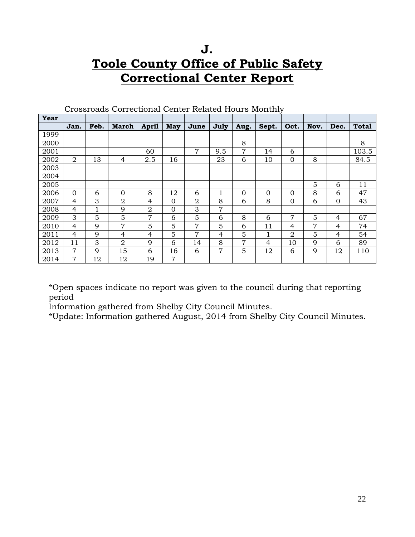# **J. Toole County Office of Public Safety Correctional Center Report**

| Year |                |      |                |                |                |                |              |          |                |                |      |          |              |
|------|----------------|------|----------------|----------------|----------------|----------------|--------------|----------|----------------|----------------|------|----------|--------------|
|      | Jan.           | Feb. | <b>March</b>   | <b>April</b>   | May            | June           | July         | Aug.     | Sept.          | Oct.           | Nov. | Dec.     | <b>Total</b> |
| 1999 |                |      |                |                |                |                |              |          |                |                |      |          |              |
| 2000 |                |      |                |                |                |                |              | 8        |                |                |      |          | 8            |
| 2001 |                |      |                | 60             |                | $\overline{7}$ | 9.5          | 7        | 14             | 6              |      |          | 103.5        |
| 2002 | 2              | 13   | $\overline{4}$ | 2.5            | 16             |                | 23           | 6        | 10             | $\overline{0}$ | 8    |          | 84.5         |
| 2003 |                |      |                |                |                |                |              |          |                |                |      |          |              |
| 2004 |                |      |                |                |                |                |              |          |                |                |      |          |              |
| 2005 |                |      |                |                |                |                |              |          |                |                | 5    | 6        | 11           |
| 2006 | $\Omega$       | 6    | $\Omega$       | 8              | 12             | 6              | $\mathbf{1}$ | $\Omega$ | $\Omega$       | $\overline{0}$ | 8    | 6        | 47           |
| 2007 | $\overline{4}$ | 3    | $\overline{2}$ | 4              | $\Omega$       | 2              | 8            | 6        | 8              | $\overline{0}$ | 6    | $\Omega$ | 43           |
| 2008 | $\overline{4}$ | 1    | 9              | $\overline{2}$ | $\Omega$       | 3              | 7            |          |                |                |      |          |              |
| 2009 | 3              | 5    | 5              | $\overline{7}$ | 6              | 5              | 6            | 8        | 6              | $\overline{7}$ | 5    | 4        | 67           |
| 2010 | 4              | 9    | $\overline{7}$ | 5              | 5              | $\overline{7}$ | 5            | 6        | 11             | 4              | 7    | 4        | 74           |
| 2011 | $\overline{4}$ | 9    | 4              | 4              | 5              | $\overline{7}$ | 4            | 5        | 1              | 2              | 5    | 4        | 54           |
| 2012 | 11             | 3    | $\overline{2}$ | 9              | 6              | 14             | 8            | 7        | $\overline{4}$ | 10             | 9    | 6        | 89           |
| 2013 | $\overline{7}$ | 9    | 15             | 6              | 16             | 6              | 7            | 5        | 12             | 6              | 9    | 12       | 110          |
| 2014 | $\overline{7}$ | 12   | 12             | 19             | $\overline{7}$ |                |              |          |                |                |      |          |              |

Crossroads Correctional Center Related Hours Monthly

\*Open spaces indicate no report was given to the council during that reporting period

Information gathered from Shelby City Council Minutes.

\*Update: Information gathered August, 2014 from Shelby City Council Minutes.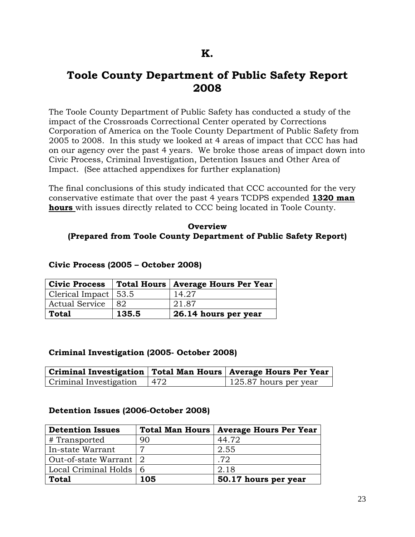### **Toole County Department of Public Safety Report 2008**

The Toole County Department of Public Safety has conducted a study of the impact of the Crossroads Correctional Center operated by Corrections Corporation of America on the Toole County Department of Public Safety from 2005 to 2008. In this study we looked at 4 areas of impact that CCC has had on our agency over the past 4 years. We broke those areas of impact down into Civic Process, Criminal Investigation, Detention Issues and Other Area of Impact. (See attached appendixes for further explanation)

The final conclusions of this study indicated that CCC accounted for the very conservative estimate that over the past 4 years TCDPS expended **1320 man hours** with issues directly related to CCC being located in Toole County.

#### **Overview (Prepared from Toole County Department of Public Safety Report)**

|                        |       | Civic Process   Total Hours   Average Hours Per Year |
|------------------------|-------|------------------------------------------------------|
| Clerical Impact   53.5 |       | 14.27                                                |
| Actual Service         | I 82. | 21.87                                                |
| Total                  | 135.5 | 26.14 hours per year                                 |

#### **Civic Process (2005 – October 2008)**

#### **Criminal Investigation (2005- October 2008)**

|                        |     | Criminal Investigation   Total Man Hours   Average Hours Per Year |
|------------------------|-----|-------------------------------------------------------------------|
| Criminal Investigation | 472 | 125.87 hours per year                                             |

#### **Detention Issues (2006-October 2008)**

| <b>Detention Issues</b>  | <b>Total Man Hours</b> | <b>Average Hours Per Year</b> |
|--------------------------|------------------------|-------------------------------|
| # Transported            | 90                     | 44.72                         |
| In-state Warrant         | 7                      | 2.55                          |
| Out-of-state Warrant 2   |                        | .72                           |
| Local Criminal Holds   6 |                        | 2.18                          |
| <b>Total</b>             | 105                    | 50.17 hours per year          |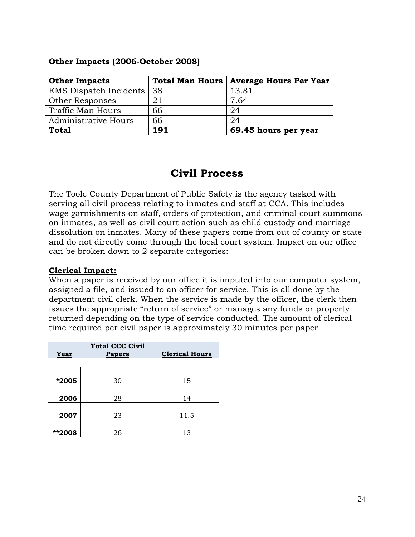#### **Other Impacts (2006-October 2008)**

| <b>Other Impacts</b>          |                   | Total Man Hours   Average Hours Per Year |
|-------------------------------|-------------------|------------------------------------------|
| <b>EMS</b> Dispatch Incidents | $\overline{)}$ 38 | 13.81                                    |
| Other Responses               | 21                | 7.64                                     |
| Traffic Man Hours             | 66                | 24                                       |
| <b>Administrative Hours</b>   | 66                | 24                                       |
| <b>Total</b>                  | 191               | 69.45 hours per year                     |

### **Civil Process**

The Toole County Department of Public Safety is the agency tasked with serving all civil process relating to inmates and staff at CCA. This includes wage garnishments on staff, orders of protection, and criminal court summons on inmates, as well as civil court action such as child custody and marriage dissolution on inmates. Many of these papers come from out of county or state and do not directly come through the local court system. Impact on our office can be broken down to 2 separate categories:

#### **Clerical Impact:**

When a paper is received by our office it is imputed into our computer system, assigned a file, and issued to an officer for service. This is all done by the department civil clerk. When the service is made by the officer, the clerk then issues the appropriate "return of service" or manages any funds or property returned depending on the type of service conducted. The amount of clerical time required per civil paper is approximately 30 minutes per paper.

| Year   | <b>Total CCC Civil</b><br><b>Papers</b> | <b>Clerical Hours</b> |
|--------|-----------------------------------------|-----------------------|
|        |                                         |                       |
| *2005  | 30                                      | 15                    |
|        |                                         |                       |
| 2006   | 28                                      | 14                    |
|        |                                         |                       |
| 2007   | 23                                      | 11.5                  |
|        |                                         |                       |
| **2008 | 26                                      | 13                    |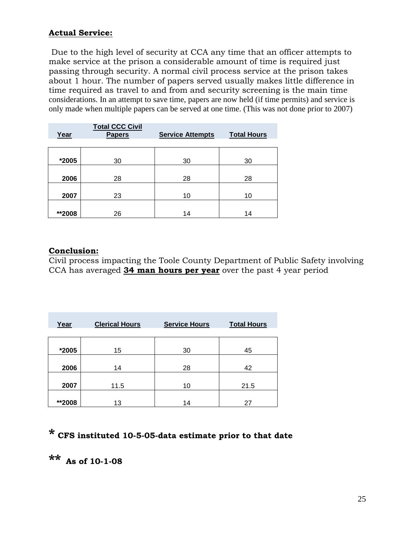#### **Actual Service:**

Due to the high level of security at CCA any time that an officer attempts to make service at the prison a considerable amount of time is required just passing through security. A normal civil process service at the prison takes about 1 hour. The number of papers served usually makes little difference in time required as travel to and from and security screening is the main time considerations. In an attempt to save time, papers are now held (if time permits) and service is only made when multiple papers can be served at one time. (This was not done prior to 2007)

| Year   | <b>Total CCC Civil</b><br>Papers | <b>Service Attempts</b> | <b>Total Hours</b> |
|--------|----------------------------------|-------------------------|--------------------|
| *2005  | 30                               | 30                      | 30                 |
| 2006   | 28                               | 28                      | 28                 |
| 2007   | 23                               | 10                      | 10                 |
| **2008 | 26                               | 14                      | 14                 |

#### **Conclusion:**

Civil process impacting the Toole County Department of Public Safety involving CCA has averaged **34 man hours per year** over the past 4 year period

| Year    | <b>Clerical Hours</b> | <b>Service Hours</b> | <b>Total Hours</b> |
|---------|-----------------------|----------------------|--------------------|
| $*2005$ | 15                    | 30                   | 45                 |
| 2006    | 14                    | 28                   | 42                 |
| 2007    | 11.5                  | 10                   | 21.5               |
| **2008  | 13                    | 14                   | 27                 |

# **\* CFS instituted 10-5-05-data estimate prior to that date**

**\*\* As of 10-1-08**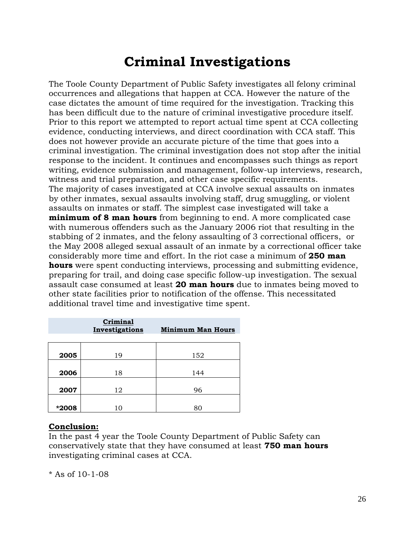# **Criminal Investigations**

The Toole County Department of Public Safety investigates all felony criminal occurrences and allegations that happen at CCA. However the nature of the case dictates the amount of time required for the investigation. Tracking this has been difficult due to the nature of criminal investigative procedure itself. Prior to this report we attempted to report actual time spent at CCA collecting evidence, conducting interviews, and direct coordination with CCA staff. This does not however provide an accurate picture of the time that goes into a criminal investigation. The criminal investigation does not stop after the initial response to the incident. It continues and encompasses such things as report writing, evidence submission and management, follow-up interviews, research, witness and trial preparation, and other case specific requirements. The majority of cases investigated at CCA involve sexual assaults on inmates by other inmates, sexual assaults involving staff, drug smuggling, or violent assaults on inmates or staff. The simplest case investigated will take a **minimum of 8 man hours** from beginning to end. A more complicated case with numerous offenders such as the January 2006 riot that resulting in the stabbing of 2 inmates, and the felony assaulting of 3 correctional officers, or the May 2008 alleged sexual assault of an inmate by a correctional officer take considerably more time and effort. In the riot case a minimum of **250 man hours** were spent conducting interviews, processing and submitting evidence, preparing for trail, and doing case specific follow-up investigation. The sexual assault case consumed at least **20 man hours** due to inmates being moved to other state facilities prior to notification of the offense. This necessitated additional travel time and investigative time spent.

|       | Criminal<br>Investigations | <b>Minimum Man Hours</b> |
|-------|----------------------------|--------------------------|
| 2005  | 19                         | 152                      |
| 2006  | 18                         | 144                      |
| 2007  | 12                         | 96                       |
| *2008 | 10                         | 80                       |

#### **Conclusion:**

In the past 4 year the Toole County Department of Public Safety can conservatively state that they have consumed at least **750 man hours** investigating criminal cases at CCA.

\* As of 10-1-08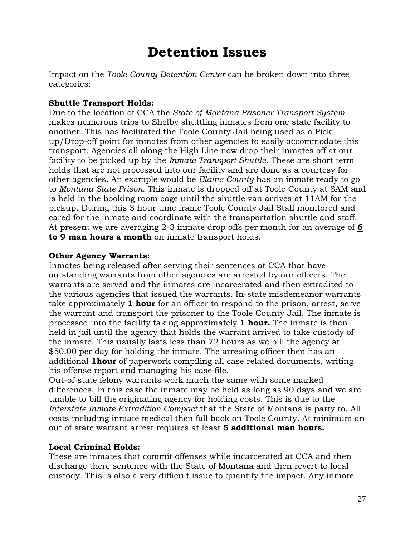# **Detention Issues**

Impact on the *Toole County Detention Center* can be broken down into three categories:

#### **Shuttle Transport Holds:**

Due to the location of CCA the *State of Montana Prisoner Transport System* makes numerous trips to Shelby shuttling inmates from one state facility to another. This has facilitated the Toole County Jail being used as a Pickup/Drop-off point for inmates from other agencies to easily accommodate this transport. Agencies all along the High Line now drop their inmates off at our facility to be picked up by the *Inmate Transport Shuttle*. These are short term holds that are not processed into our facility and are done as a courtesy for other agencies. An example would be *Blaine County* has an inmate ready to go to *Montana State Prison*. This inmate is dropped off at Toole County at 8AM and is held in the booking room cage until the shuttle van arrives at 11AM for the pickup. During this 3 hour time frame Toole County Jail Staff monitored and cared for the inmate and coordinate with the transportation shuttle and staff. At present we are averaging 2-3 inmate drop offs per month for an average of **6 to 9 man hours a month** on inmate transport holds.

#### **Other Agency Warrants:**

Inmates being released after serving their sentences at CCA that have outstanding warrants from other agencies are arrested by our officers. The warrants are served and the inmates are incarcerated and then extradited to the various agencies that issued the warrants. In-state misdemeanor warrants take approximately **1 hour** for an officer to respond to the prison, arrest, serve the warrant and transport the prisoner to the Toole County Jail. The inmate is processed into the facility taking approximately **1 hour.** The inmate is then held in jail until the agency that holds the warrant arrived to take custody of the inmate. This usually lasts less than 72 hours as we bill the agency at \$50.00 per day for holding the inmate. The arresting officer then has an additional **1hour** of paperwork compiling all case related documents, writing his offense report and managing his case file.

Out-of-state felony warrants work much the same with some marked differences. In this case the inmate may be held as long as 90 days and we are unable to bill the originating agency for holding costs. This is due to the *Interstate Inmate Extradition Compact* that the State of Montana is party to. All costs including inmate medical then fall back on Toole County. At minimum an out of state warrant arrest requires at least **5 additional man hours.** 

#### **Local Criminal Holds:**

These are inmates that commit offenses while incarcerated at CCA and then discharge there sentence with the State of Montana and then revert to local custody. This is also a very difficult issue to quantify the impact. Any inmate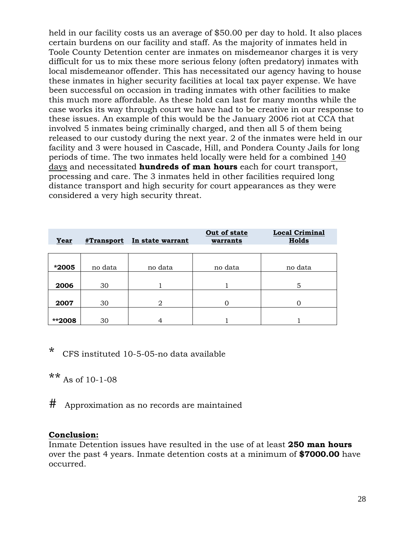held in our facility costs us an average of \$50.00 per day to hold. It also places certain burdens on our facility and staff. As the majority of inmates held in Toole County Detention center are inmates on misdemeanor charges it is very difficult for us to mix these more serious felony (often predatory) inmates with local misdemeanor offender. This has necessitated our agency having to house these inmates in higher security facilities at local tax payer expense. We have been successful on occasion in trading inmates with other facilities to make this much more affordable. As these hold can last for many months while the case works its way through court we have had to be creative in our response to these issues. An example of this would be the January 2006 riot at CCA that involved 5 inmates being criminally charged, and then all 5 of them being released to our custody during the next year. 2 of the inmates were held in our facility and 3 were housed in Cascade, Hill, and Pondera County Jails for long periods of time. The two inmates held locally were held for a combined 140 days and necessitated **hundreds of man hours** each for court transport, processing and care. The 3 inmates held in other facilities required long distance transport and high security for court appearances as they were considered a very high security threat.

| Year   | #Transport | In state warrant | Out of state<br>warrants | <b>Local Criminal</b><br>Holds |
|--------|------------|------------------|--------------------------|--------------------------------|
| *2005  | no data    | no data          | no data                  | no data                        |
| 2006   | 30         |                  |                          | 5                              |
| 2007   | 30         | $\overline{2}$   | 0                        | ∩                              |
| **2008 | 30         |                  |                          |                                |

\* CFS instituted 10-5-05-no data available

\*\* As of 10-1-08

# Approximation as no records are maintained

#### **Conclusion:**

Inmate Detention issues have resulted in the use of at least **250 man hours** over the past 4 years. Inmate detention costs at a minimum of **\$7000.00** have occurred.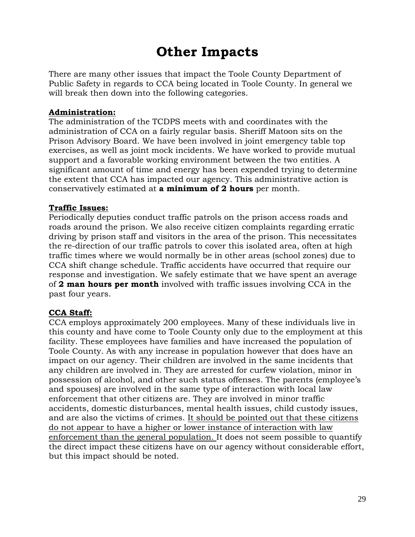# **Other Impacts**

There are many other issues that impact the Toole County Department of Public Safety in regards to CCA being located in Toole County. In general we will break then down into the following categories.

#### **Administration:**

The administration of the TCDPS meets with and coordinates with the administration of CCA on a fairly regular basis. Sheriff Matoon sits on the Prison Advisory Board. We have been involved in joint emergency table top exercises, as well as joint mock incidents. We have worked to provide mutual support and a favorable working environment between the two entities. A significant amount of time and energy has been expended trying to determine the extent that CCA has impacted our agency. This administrative action is conservatively estimated at **a minimum of 2 hours** per month.

#### **Traffic Issues:**

Periodically deputies conduct traffic patrols on the prison access roads and roads around the prison. We also receive citizen complaints regarding erratic driving by prison staff and visitors in the area of the prison. This necessitates the re-direction of our traffic patrols to cover this isolated area, often at high traffic times where we would normally be in other areas (school zones) due to CCA shift change schedule. Traffic accidents have occurred that require our response and investigation. We safely estimate that we have spent an average of **2 man hours per month** involved with traffic issues involving CCA in the past four years.

#### **CCA Staff:**

CCA employs approximately 200 employees. Many of these individuals live in this county and have come to Toole County only due to the employment at this facility. These employees have families and have increased the population of Toole County. As with any increase in population however that does have an impact on our agency. Their children are involved in the same incidents that any children are involved in. They are arrested for curfew violation, minor in possession of alcohol, and other such status offenses. The parents (employee's and spouses) are involved in the same type of interaction with local law enforcement that other citizens are. They are involved in minor traffic accidents, domestic disturbances, mental health issues, child custody issues, and are also the victims of crimes. It should be pointed out that these citizens do not appear to have a higher or lower instance of interaction with law enforcement than the general population. It does not seem possible to quantify the direct impact these citizens have on our agency without considerable effort, but this impact should be noted.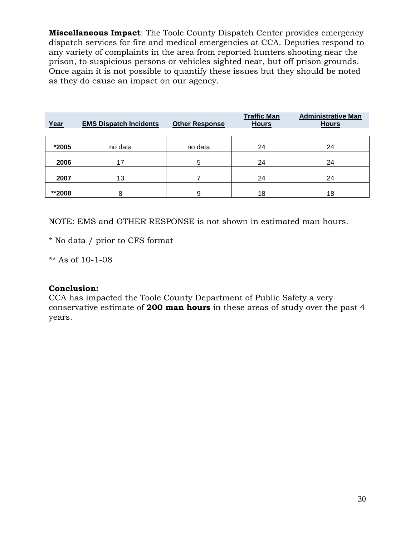**Miscellaneous Impact**: The Toole County Dispatch Center provides emergency dispatch services for fire and medical emergencies at CCA. Deputies respond to any variety of complaints in the area from reported hunters shooting near the prison, to suspicious persons or vehicles sighted near, but off prison grounds. Once again it is not possible to quantify these issues but they should be noted as they do cause an impact on our agency.

| Year   | <b>EMS Dispatch Incidents</b> | <b>Other Response</b> | <b>Traffic Man</b><br><b>Hours</b> | <b>Administrative Man</b><br><b>Hours</b> |
|--------|-------------------------------|-----------------------|------------------------------------|-------------------------------------------|
| *2005  | no data                       | no data               | 24                                 | 24                                        |
| 2006   | 17                            | 5                     | 24                                 | 24                                        |
| 2007   | 13                            |                       | 24                                 | 24                                        |
| **2008 | я                             | 9                     | 18                                 | 18                                        |

NOTE: EMS and OTHER RESPONSE is not shown in estimated man hours.

\* No data / prior to CFS format

\*\* As of 10-1-08

#### **Conclusion:**

CCA has impacted the Toole County Department of Public Safety a very conservative estimate of **200 man hours** in these areas of study over the past 4 years.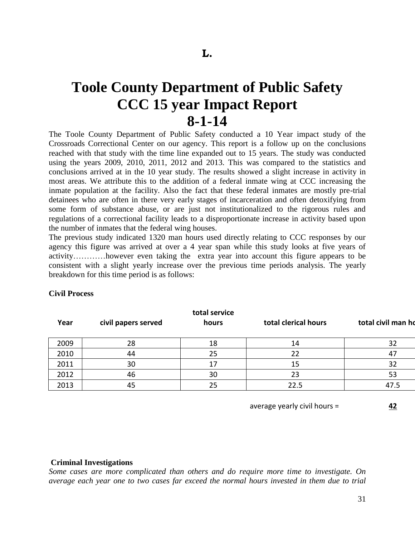# **Toole County Department of Public Safety CCC 15 year Impact Report 8-1-14**

The Toole County Department of Public Safety conducted a 10 Year impact study of the Crossroads Correctional Center on our agency. This report is a follow up on the conclusions reached with that study with the time line expanded out to 15 years. The study was conducted using the years 2009, 2010, 2011, 2012 and 2013. This was compared to the statistics and conclusions arrived at in the 10 year study. The results showed a slight increase in activity in most areas. We attribute this to the addition of a federal inmate wing at CCC increasing the inmate population at the facility. Also the fact that these federal inmates are mostly pre-trial detainees who are often in there very early stages of incarceration and often detoxifying from some form of substance abuse, or are just not institutionalized to the rigorous rules and regulations of a correctional facility leads to a disproportionate increase in activity based upon the number of inmates that the federal wing houses.

The previous study indicated 1320 man hours used directly relating to CCC responses by our agency this figure was arrived at over a 4 year span while this study looks at five years of activity…………however even taking the extra year into account this figure appears to be consistent with a slight yearly increase over the previous time periods analysis. The yearly breakdown for this time period is as follows:

#### **Civil Process**

| Year | civil papers served | total service<br>hours | total clerical hours | total civil man ho |
|------|---------------------|------------------------|----------------------|--------------------|
| 2009 | 28                  | 18                     | 14                   | 32                 |
| 2010 | 44                  | 25                     | 22                   | 47                 |
| 2011 | 30                  | 17                     | 15                   | 32                 |
| 2012 | 46                  | 30                     | 23                   | 53                 |
| 2013 | 45                  | 25                     | 22.5                 | 47.5               |

average yearly civil hours = **42**

#### **Criminal Investigations**

*Some cases are more complicated than others and do require more time to investigate. On average each year one to two cases far exceed the normal hours invested in them due to trial*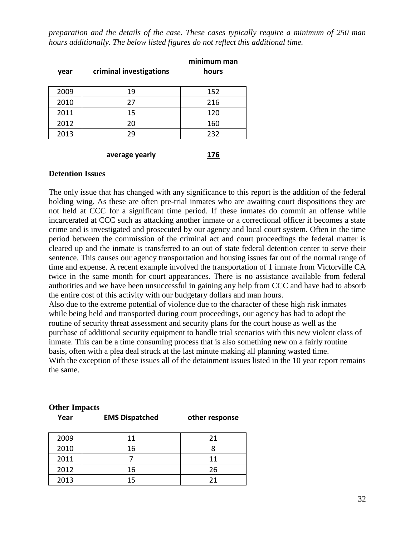*preparation and the details of the case. These cases typically require a minimum of 250 man hours additionally. The below listed figures do not reflect this additional time.*

| year | criminal investigations | minimum man<br>hours |
|------|-------------------------|----------------------|
| 2009 | 19                      | 152                  |
| 2010 | 27                      | 216                  |
| 2011 | 15                      | 120                  |
| 2012 | 20                      | 160                  |
| 2013 | 29                      | 232                  |
|      |                         |                      |

**average yearly 176**

#### **Detention Issues**

The only issue that has changed with any significance to this report is the addition of the federal holding wing. As these are often pre-trial inmates who are awaiting court dispositions they are not held at CCC for a significant time period. If these inmates do commit an offense while incarcerated at CCC such as attacking another inmate or a correctional officer it becomes a state crime and is investigated and prosecuted by our agency and local court system. Often in the time period between the commission of the criminal act and court proceedings the federal matter is cleared up and the inmate is transferred to an out of state federal detention center to serve their sentence. This causes our agency transportation and housing issues far out of the normal range of time and expense. A recent example involved the transportation of 1 inmate from Victorville CA twice in the same month for court appearances. There is no assistance available from federal authorities and we have been unsuccessful in gaining any help from CCC and have had to absorb the entire cost of this activity with our budgetary dollars and man hours.

Also due to the extreme potential of violence due to the character of these high risk inmates while being held and transported during court proceedings, our agency has had to adopt the routine of security threat assessment and security plans for the court house as well as the purchase of additional security equipment to handle trial scenarios with this new violent class of inmate. This can be a time consuming process that is also something new on a fairly routine basis, often with a plea deal struck at the last minute making all planning wasted time. With the exception of these issues all of the detainment issues listed in the 10 year report remains the same.

| 2009 | 11 | 21 |
|------|----|----|
| 2010 | 16 |    |
| 2011 |    | 11 |
| 2012 | 16 | 26 |
| 2013 | 15 | 21 |

### **Other Impacts Year EMS Dispatched other response**